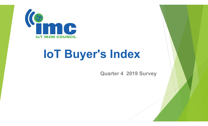

## IoT Buyer's Index

Quarter 4 2019 Survey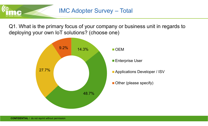

Q1. What is the primary focus of your company or business unit in regards to IMC Adopter Survey - Total<br>Q1. What is the primary focus of your company or busine<br>deploying your own IoT solutions? (choose one)

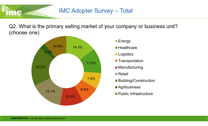## IMC Adopter Survey – Total

Q2. What is the primary selling market of your company or business unit? (choose one)



- **Energy**
- 
- **Logistics**
- Transportation
- **Manufacturing**
- **■**Retail
- $7.6\%$  PuildipalConstruction Building/Construction
	- **Agribusiness**
	- **Public Infrastructure**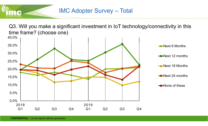

Q3. Will you make a significant investment in IoT technology/connectivity in this time frame? (choose one)

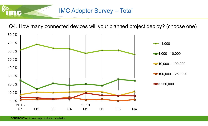## IMC Adopter Survey – Total

Q4. How many connected devices will your planned project deploy? (choose one)

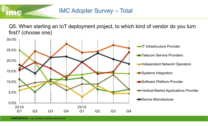

Q5. When starting an IoT deployment project, to which kind of vendor do you turn first? (choose one)

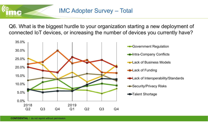Q6. What is the biggest hurdle to your organization starting a new deployment of connected IoT devices, or increasing the number of devices you currently have?

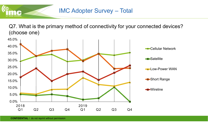

Q7. What is the primary method of connectivity for your connected devices? (choose one)